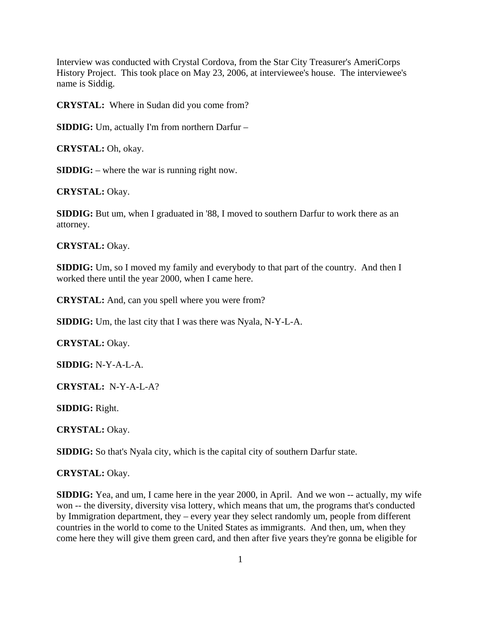Interview was conducted with Crystal Cordova, from the Star City Treasurer's AmeriCorps History Project. This took place on May 23, 2006, at interviewee's house. The interviewee's name is Siddig.

**CRYSTAL:** Where in Sudan did you come from?

**SIDDIG:** Um, actually I'm from northern Darfur –

**CRYSTAL:** Oh, okay.

**SIDDIG:** – where the war is running right now.

**CRYSTAL:** Okay.

**SIDDIG:** But um, when I graduated in '88, I moved to southern Darfur to work there as an attorney.

#### **CRYSTAL:** Okay.

**SIDDIG:** Um, so I moved my family and everybody to that part of the country. And then I worked there until the year 2000, when I came here.

**CRYSTAL:** And, can you spell where you were from?

**SIDDIG:** Um, the last city that I was there was Nyala, N-Y-L-A.

**CRYSTAL:** Okay.

**SIDDIG:** N-Y-A-L-A.

**CRYSTAL:** N-Y-A-L-A?

**SIDDIG:** Right.

**CRYSTAL:** Okay.

**SIDDIG:** So that's Nyala city, which is the capital city of southern Darfur state.

#### **CRYSTAL:** Okay.

**SIDDIG:** Yea, and um, I came here in the year 2000, in April. And we won -- actually, my wife won -- the diversity, diversity visa lottery, which means that um, the programs that's conducted by Immigration department, they – every year they select randomly um, people from different countries in the world to come to the United States as immigrants. And then, um, when they come here they will give them green card, and then after five years they're gonna be eligible for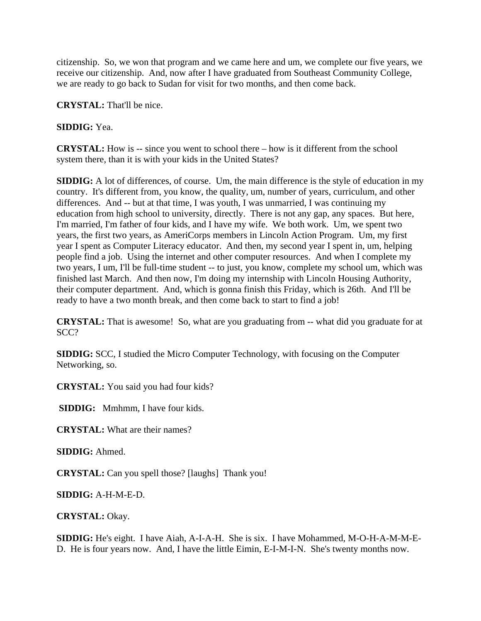citizenship. So, we won that program and we came here and um, we complete our five years, we receive our citizenship. And, now after I have graduated from Southeast Community College, we are ready to go back to Sudan for visit for two months, and then come back.

**CRYSTAL:** That'll be nice.

**SIDDIG:** Yea.

**CRYSTAL:** How is -- since you went to school there – how is it different from the school system there, than it is with your kids in the United States?

**SIDDIG:** A lot of differences, of course. Um, the main difference is the style of education in my country. It's different from, you know, the quality, um, number of years, curriculum, and other differences. And -- but at that time, I was youth, I was unmarried, I was continuing my education from high school to university, directly. There is not any gap, any spaces. But here, I'm married, I'm father of four kids, and I have my wife. We both work. Um, we spent two years, the first two years, as AmeriCorps members in Lincoln Action Program. Um, my first year I spent as Computer Literacy educator. And then, my second year I spent in, um, helping people find a job. Using the internet and other computer resources. And when I complete my two years, I um, I'll be full-time student -- to just, you know, complete my school um, which was finished last March. And then now, I'm doing my internship with Lincoln Housing Authority, their computer department. And, which is gonna finish this Friday, which is 26th. And I'll be ready to have a two month break, and then come back to start to find a job!

**CRYSTAL:** That is awesome! So, what are you graduating from -- what did you graduate for at SCC?

**SIDDIG:** SCC, I studied the Micro Computer Technology, with focusing on the Computer Networking, so.

**CRYSTAL:** You said you had four kids?

**SIDDIG:** Mmhmm, I have four kids.

**CRYSTAL:** What are their names?

**SIDDIG:** Ahmed.

**CRYSTAL:** Can you spell those? [laughs] Thank you!

**SIDDIG:** A-H-M-E-D.

**CRYSTAL:** Okay.

**SIDDIG:** He's eight. I have Aiah, A-I-A-H. She is six. I have Mohammed, M-O-H-A-M-M-E-D. He is four years now. And, I have the little Eimin, E-I-M-I-N. She's twenty months now.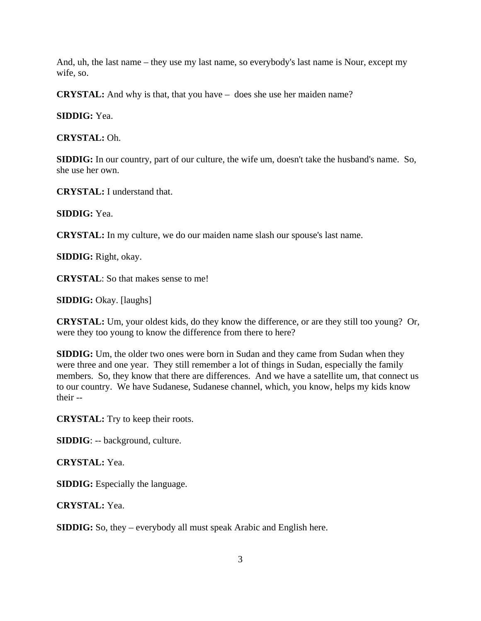And, uh, the last name – they use my last name, so everybody's last name is Nour, except my wife, so.

**CRYSTAL:** And why is that, that you have – does she use her maiden name?

**SIDDIG:** Yea.

**CRYSTAL:** Oh.

**SIDDIG:** In our country, part of our culture, the wife um, doesn't take the husband's name. So, she use her own.

**CRYSTAL:** I understand that.

**SIDDIG:** Yea.

**CRYSTAL:** In my culture, we do our maiden name slash our spouse's last name.

**SIDDIG:** Right, okay.

**CRYSTAL**: So that makes sense to me!

**SIDDIG:** Okay. [laughs]

**CRYSTAL:** Um, your oldest kids, do they know the difference, or are they still too young? Or, were they too young to know the difference from there to here?

**SIDDIG:** Um, the older two ones were born in Sudan and they came from Sudan when they were three and one year. They still remember a lot of things in Sudan, especially the family members. So, they know that there are differences. And we have a satellite um, that connect us to our country. We have Sudanese, Sudanese channel, which, you know, helps my kids know their --

**CRYSTAL:** Try to keep their roots.

**SIDDIG**: -- background, culture.

**CRYSTAL:** Yea.

**SIDDIG:** Especially the language.

**CRYSTAL:** Yea.

**SIDDIG:** So, they – everybody all must speak Arabic and English here.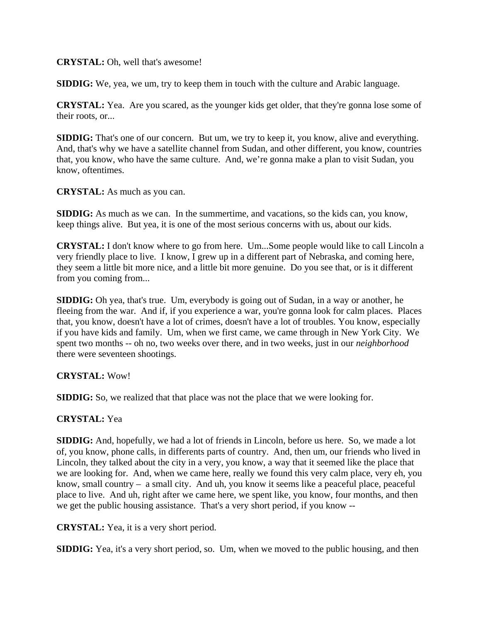## **CRYSTAL:** Oh, well that's awesome!

**SIDDIG:** We, yea, we um, try to keep them in touch with the culture and Arabic language.

**CRYSTAL:** Yea. Are you scared, as the younger kids get older, that they're gonna lose some of their roots, or...

**SIDDIG:** That's one of our concern. But um, we try to keep it, you know, alive and everything. And, that's why we have a satellite channel from Sudan, and other different, you know, countries that, you know, who have the same culture. And, we're gonna make a plan to visit Sudan, you know, oftentimes.

## **CRYSTAL:** As much as you can.

**SIDDIG:** As much as we can. In the summertime, and vacations, so the kids can, you know, keep things alive. But yea, it is one of the most serious concerns with us, about our kids.

**CRYSTAL:** I don't know where to go from here. Um...Some people would like to call Lincoln a very friendly place to live. I know, I grew up in a different part of Nebraska, and coming here, they seem a little bit more nice, and a little bit more genuine. Do you see that, or is it different from you coming from...

**SIDDIG:** Oh yea, that's true. Um, everybody is going out of Sudan, in a way or another, he fleeing from the war. And if, if you experience a war, you're gonna look for calm places. Places that, you know, doesn't have a lot of crimes, doesn't have a lot of troubles. You know, especially if you have kids and family. Um, when we first came, we came through in New York City. We spent two months -- oh no, two weeks over there, and in two weeks, just in our *neighborhood*  there were seventeen shootings.

# **CRYSTAL:** Wow!

**SIDDIG:** So, we realized that that place was not the place that we were looking for.

# **CRYSTAL:** Yea

**SIDDIG:** And, hopefully, we had a lot of friends in Lincoln, before us here. So, we made a lot of, you know, phone calls, in differents parts of country. And, then um, our friends who lived in Lincoln, they talked about the city in a very, you know, a way that it seemed like the place that we are looking for. And, when we came here, really we found this very calm place, very eh, you know, small country – a small city. And uh, you know it seems like a peaceful place, peaceful place to live. And uh, right after we came here, we spent like, you know, four months, and then we get the public housing assistance. That's a very short period, if you know --

**CRYSTAL:** Yea, it is a very short period.

**SIDDIG:** Yea, it's a very short period, so. Um, when we moved to the public housing, and then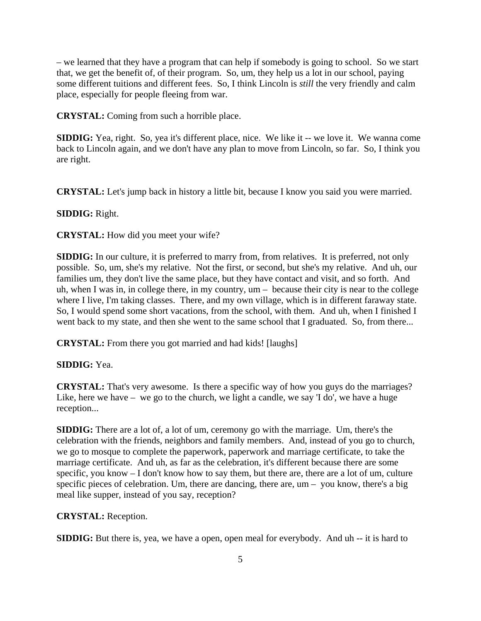– we learned that they have a program that can help if somebody is going to school. So we start that, we get the benefit of, of their program. So, um, they help us a lot in our school, paying some different tuitions and different fees. So, I think Lincoln is *still* the very friendly and calm place, especially for people fleeing from war.

**CRYSTAL:** Coming from such a horrible place.

**SIDDIG:** Yea, right. So, yea it's different place, nice. We like it -- we love it. We wanna come back to Lincoln again, and we don't have any plan to move from Lincoln, so far. So, I think you are right.

**CRYSTAL:** Let's jump back in history a little bit, because I know you said you were married.

### **SIDDIG:** Right.

**CRYSTAL:** How did you meet your wife?

**SIDDIG:** In our culture, it is preferred to marry from, from relatives. It is preferred, not only possible. So, um, she's my relative. Not the first, or second, but she's my relative. And uh, our families um, they don't live the same place, but they have contact and visit, and so forth. And uh, when I was in, in college there, in my country, um – because their city is near to the college where I live, I'm taking classes. There, and my own village, which is in different faraway state. So, I would spend some short vacations, from the school, with them. And uh, when I finished I went back to my state, and then she went to the same school that I graduated. So, from there...

**CRYSTAL:** From there you got married and had kids! [laughs]

### **SIDDIG:** Yea.

**CRYSTAL:** That's very awesome. Is there a specific way of how you guys do the marriages? Like, here we have – we go to the church, we light a candle, we say 'I do', we have a huge reception...

**SIDDIG:** There are a lot of, a lot of um, ceremony go with the marriage. Um, there's the celebration with the friends, neighbors and family members. And, instead of you go to church, we go to mosque to complete the paperwork, paperwork and marriage certificate, to take the marriage certificate. And uh, as far as the celebration, it's different because there are some specific, you know – I don't know how to say them, but there are, there are a lot of um, culture specific pieces of celebration. Um, there are dancing, there are, um – you know, there's a big meal like supper, instead of you say, reception?

#### **CRYSTAL:** Reception.

**SIDDIG:** But there is, yea, we have a open, open meal for everybody. And uh -- it is hard to